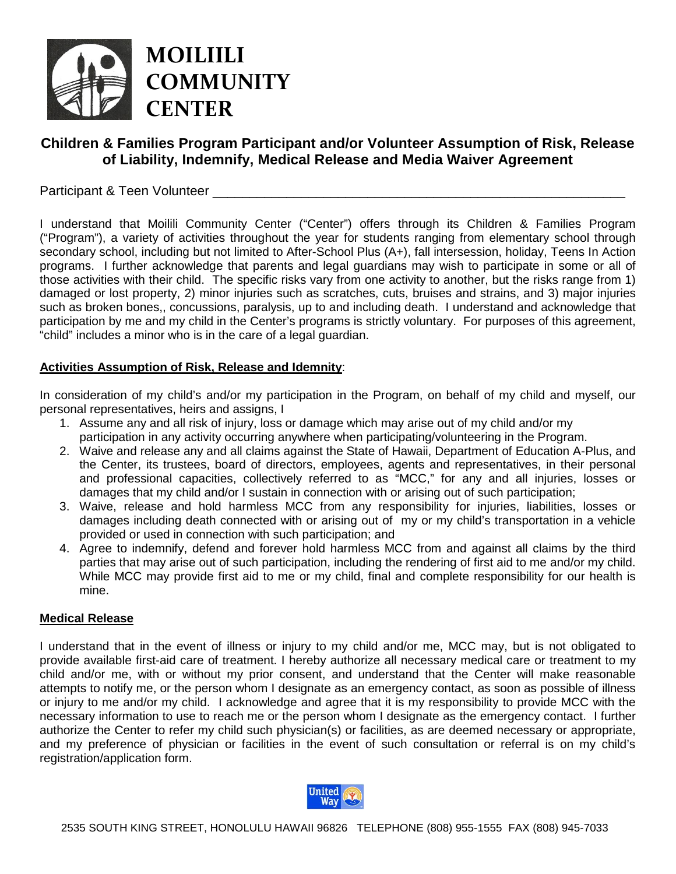

# **Children & Families Program Participant and/or Volunteer Assumption of Risk, Release of Liability, Indemnify, Medical Release and Media Waiver Agreement**

## Participant & Teen Volunteer

I understand that Moilili Community Center ("Center") offers through its Children & Families Program ("Program"), a variety of activities throughout the year for students ranging from elementary school through secondary school, including but not limited to After-School Plus (A+), fall intersession, holiday, Teens In Action programs. I further acknowledge that parents and legal guardians may wish to participate in some or all of those activities with their child. The specific risks vary from one activity to another, but the risks range from 1) damaged or lost property, 2) minor injuries such as scratches, cuts, bruises and strains, and 3) major injuries such as broken bones,, concussions, paralysis, up to and including death. I understand and acknowledge that participation by me and my child in the Center's programs is strictly voluntary. For purposes of this agreement, "child" includes a minor who is in the care of a legal guardian.

#### **Activities Assumption of Risk, Release and Idemnity**:

In consideration of my child's and/or my participation in the Program, on behalf of my child and myself, our personal representatives, heirs and assigns, I

- 1. Assume any and all risk of injury, loss or damage which may arise out of my child and/or my participation in any activity occurring anywhere when participating/volunteering in the Program.
- 2. Waive and release any and all claims against the State of Hawaii, Department of Education A-Plus, and the Center, its trustees, board of directors, employees, agents and representatives, in their personal and professional capacities, collectively referred to as "MCC," for any and all injuries, losses or damages that my child and/or I sustain in connection with or arising out of such participation;
- 3. Waive, release and hold harmless MCC from any responsibility for injuries, liabilities, losses or damages including death connected with or arising out of my or my child's transportation in a vehicle provided or used in connection with such participation; and
- 4. Agree to indemnify, defend and forever hold harmless MCC from and against all claims by the third parties that may arise out of such participation, including the rendering of first aid to me and/or my child. While MCC may provide first aid to me or my child, final and complete responsibility for our health is mine.

#### **Medical Release**

I understand that in the event of illness or injury to my child and/or me, MCC may, but is not obligated to provide available first-aid care of treatment. I hereby authorize all necessary medical care or treatment to my child and/or me, with or without my prior consent, and understand that the Center will make reasonable attempts to notify me, or the person whom I designate as an emergency contact, as soon as possible of illness or injury to me and/or my child. I acknowledge and agree that it is my responsibility to provide MCC with the necessary information to use to reach me or the person whom I designate as the emergency contact. I further authorize the Center to refer my child such physician(s) or facilities, as are deemed necessary or appropriate, and my preference of physician or facilities in the event of such consultation or referral is on my child's registration/application form.